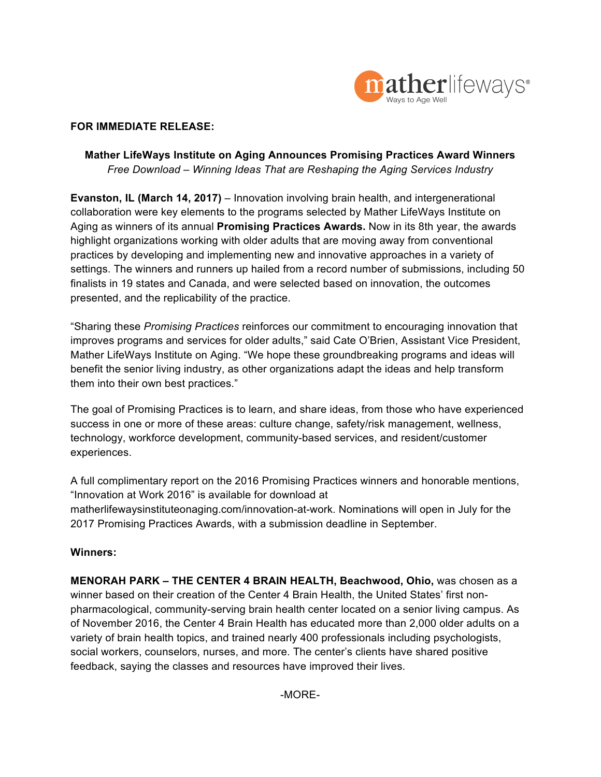

#### **FOR IMMEDIATE RELEASE:**

### **Mather LifeWays Institute on Aging Announces Promising Practices Award Winners**  *Free Download* – *Winning Ideas That are Reshaping the Aging Services Industry*

**Evanston, IL (March 14, 2017)** – Innovation involving brain health, and intergenerational collaboration were key elements to the programs selected by Mather LifeWays Institute on Aging as winners of its annual **Promising Practices Awards.** Now in its 8th year, the awards highlight organizations working with older adults that are moving away from conventional practices by developing and implementing new and innovative approaches in a variety of settings. The winners and runners up hailed from a record number of submissions, including 50 finalists in 19 states and Canada, and were selected based on innovation, the outcomes presented, and the replicability of the practice.

"Sharing these *Promising Practices* reinforces our commitment to encouraging innovation that improves programs and services for older adults," said Cate O'Brien, Assistant Vice President, Mather LifeWays Institute on Aging. "We hope these groundbreaking programs and ideas will benefit the senior living industry, as other organizations adapt the ideas and help transform them into their own best practices."

The goal of Promising Practices is to learn, and share ideas, from those who have experienced success in one or more of these areas: culture change, safety/risk management, wellness, technology, workforce development, community-based services, and resident/customer experiences.

A full complimentary report on the 2016 Promising Practices winners and honorable mentions, "Innovation at Work 2016" is available for download at matherlifewaysinstituteonaging.com/innovation-at-work. Nominations will open in July for the 2017 Promising Practices Awards, with a submission deadline in September.

### **Winners:**

**MENORAH PARK – THE CENTER 4 BRAIN HEALTH, Beachwood, Ohio,** was chosen as a winner based on their creation of the Center 4 Brain Health, the United States' first nonpharmacological, community-serving brain health center located on a senior living campus. As of November 2016, the Center 4 Brain Health has educated more than 2,000 older adults on a variety of brain health topics, and trained nearly 400 professionals including psychologists, social workers, counselors, nurses, and more. The center's clients have shared positive feedback, saying the classes and resources have improved their lives.

-MORE-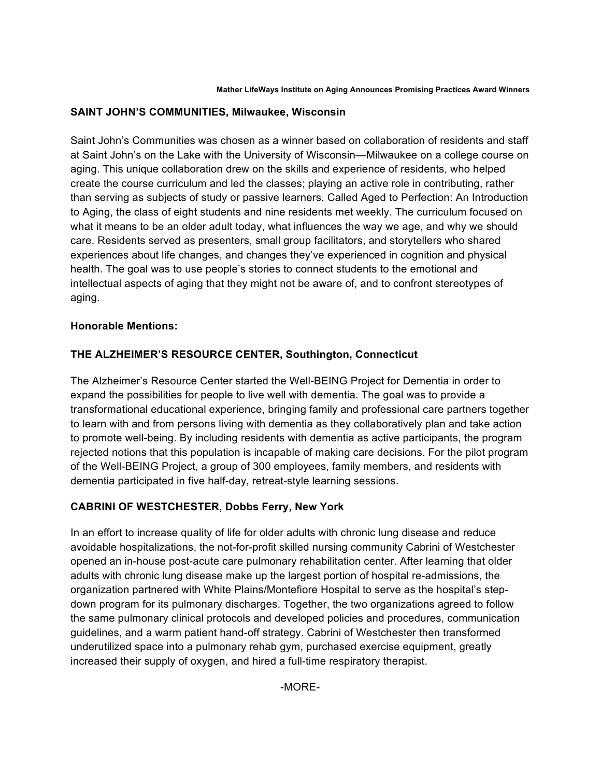### **SAINT JOHN'S COMMUNITIES, Milwaukee, Wisconsin**

Saint John's Communities was chosen as a winner based on collaboration of residents and staff at Saint John's on the Lake with the University of Wisconsin—Milwaukee on a college course on aging. This unique collaboration drew on the skills and experience of residents, who helped create the course curriculum and led the classes; playing an active role in contributing, rather than serving as subjects of study or passive learners. Called Aged to Perfection: An Introduction to Aging, the class of eight students and nine residents met weekly. The curriculum focused on what it means to be an older adult today, what influences the way we age, and why we should care. Residents served as presenters, small group facilitators, and storytellers who shared experiences about life changes, and changes they've experienced in cognition and physical health. The goal was to use people's stories to connect students to the emotional and intellectual aspects of aging that they might not be aware of, and to confront stereotypes of aging.

## **Honorable Mentions:**

# **THE ALZHEIMER'S RESOURCE CENTER, Southington, Connecticut**

The Alzheimer's Resource Center started the Well-BEING Project for Dementia in order to expand the possibilities for people to live well with dementia. The goal was to provide a transformational educational experience, bringing family and professional care partners together to learn with and from persons living with dementia as they collaboratively plan and take action to promote well-being. By including residents with dementia as active participants, the program rejected notions that this population is incapable of making care decisions. For the pilot program of the Well-BEING Project, a group of 300 employees, family members, and residents with dementia participated in five half-day, retreat-style learning sessions.

# **CABRINI OF WESTCHESTER, Dobbs Ferry, New York**

In an effort to increase quality of life for older adults with chronic lung disease and reduce avoidable hospitalizations, the not-for-profit skilled nursing community Cabrini of Westchester opened an in-house post-acute care pulmonary rehabilitation center. After learning that older adults with chronic lung disease make up the largest portion of hospital re-admissions, the organization partnered with White Plains/Montefiore Hospital to serve as the hospital's stepdown program for its pulmonary discharges. Together, the two organizations agreed to follow the same pulmonary clinical protocols and developed policies and procedures, communication guidelines, and a warm patient hand-off strategy. Cabrini of Westchester then transformed underutilized space into a pulmonary rehab gym, purchased exercise equipment, greatly increased their supply of oxygen, and hired a full-time respiratory therapist.